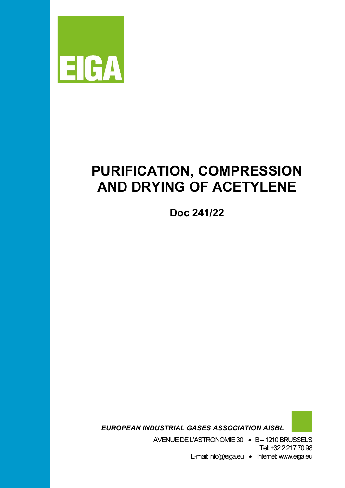

# **PURIFICATION, COMPRESSION AND DRYING OF ACETYLENE**

**Doc 241/22**

 *EUROPEAN INDUSTRIAL GASES ASSOCIATION AISBL*

AVENUE DEL'ASTRONOMIE 30 • B –1210 BRUSSELS Tel: +32 2 217 70 98

E-mail: info@eiga.eu • Internet:www.eiga.eu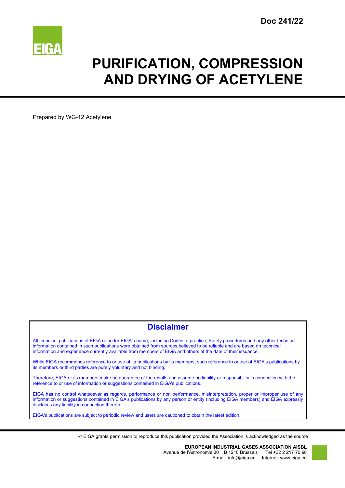

# **PURIFICATION, COMPRESSION AND DRYING OF ACETYLENE**

Prepared by WG-12 Acetylene

# **Disclaimer**

All technical publications of EIGA or under EIGA's name, including Codes of practice, Safety procedures and any other technical information contained in such publications were obtained from sources believed to be reliable and are based on technical information and experience currently available from members of EIGA and others at the date of their issuance.

While EIGA recommends reference to or use of its publications by its members, such reference to or use of EIGA's publications by its members or third parties are purely voluntary and not binding.

Therefore, EIGA or its members make no guarantee of the results and assume no liability or responsibility in connection with the reference to or use of information or suggestions contained in EIGA's publications.

EIGA has no control whatsoever as regards, performance or non performance, misinterpretation, proper or improper use of any information or suggestions contained in EIGA's publications by any person or entity (including EIGA members) and EIGA expressly disclaims any liability in connection thereto.

EIGA's publications are subject to periodic review and users are cautioned to obtain the latest edition.

EIGA grants permission to reproduce this publication provided the Association is acknowledged as the source

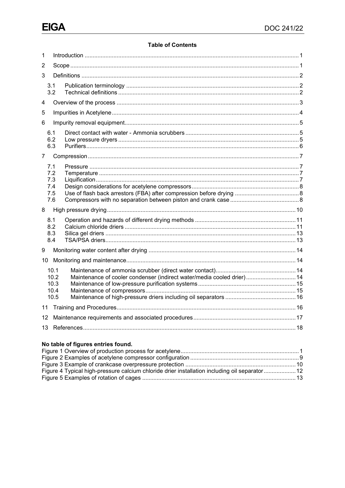### **Table of Contents**

| 1              |                                        |                                                                        |  |  |
|----------------|----------------------------------------|------------------------------------------------------------------------|--|--|
| 2              |                                        |                                                                        |  |  |
| 3              |                                        |                                                                        |  |  |
|                | 3.1<br>3.2                             |                                                                        |  |  |
| 4              |                                        |                                                                        |  |  |
| 5              |                                        |                                                                        |  |  |
| 6              |                                        |                                                                        |  |  |
|                | 6.1<br>6.2<br>6.3                      |                                                                        |  |  |
| $\overline{7}$ |                                        |                                                                        |  |  |
|                | 7.1<br>7.2<br>7.3<br>7.4<br>7.5<br>7.6 |                                                                        |  |  |
| 8              |                                        |                                                                        |  |  |
|                | 8.1<br>8.2<br>8.3<br>8.4               |                                                                        |  |  |
| 9              |                                        |                                                                        |  |  |
| 10             |                                        |                                                                        |  |  |
|                | 10.1<br>10.2<br>10.3<br>10.4<br>10.5   | Maintenance of cooler condenser (indirect water/media cooled drier) 14 |  |  |
| 11             |                                        |                                                                        |  |  |
| 12             |                                        |                                                                        |  |  |
|                | 13                                     |                                                                        |  |  |

# No table of figures entries found.

| Figure 4 Typical high-pressure calcium chloride drier installation including oil separator 12 |  |
|-----------------------------------------------------------------------------------------------|--|
|                                                                                               |  |
|                                                                                               |  |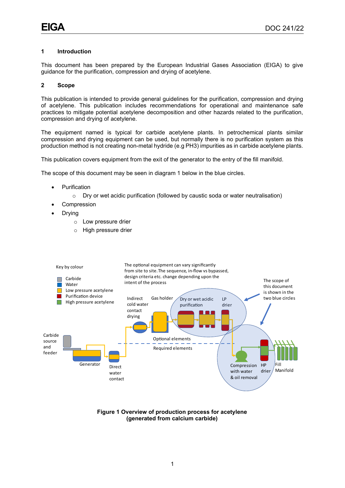#### <span id="page-3-0"></span>**1 Introduction**

This document has been prepared by the European Industrial Gases Association (EIGA) to give guidance for the purification, compression and drying of acetylene.

#### <span id="page-3-1"></span>**2 Scope**

This publication is intended to provide general guidelines for the purification, compression and drying of acetylene. This publication includes recommendations for operational and maintenance safe practices to mitigate potential acetylene decomposition and other hazards related to the purification, compression and drying of acetylene.

The equipment named is typical for carbide acetylene plants. In petrochemical plants similar compression and drying equipment can be used, but normally there is no purification system as this production method is not creating non-metal hydride (e.g PH3) impurities as in carbide acetylene plants.

This publication covers equipment from the exit of the generator to the entry of the fill manifold.

The scope of this document may be seen in diagram 1 below in the blue circles.

- **Purification** 
	- $\circ$  Dry or wet acidic purification (followed by caustic soda or water neutralisation)
- **Compression**
- **Drying** 
	- o Low pressure drier
	- o High pressure drier



<span id="page-3-2"></span>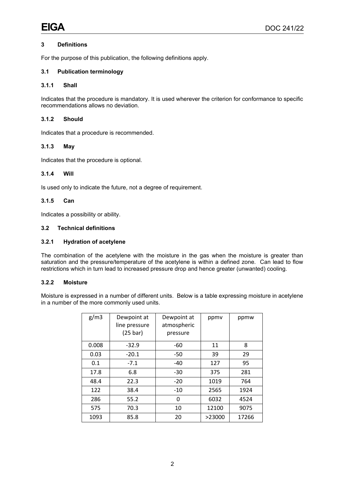### <span id="page-4-0"></span>**3 Definitions**

For the purpose of this publication, the following definitions apply.

#### <span id="page-4-1"></span>**3.1 Publication terminology**

#### **3.1.1 Shall**

Indicates that the procedure is mandatory. It is used wherever the criterion for conformance to specific recommendations allows no deviation.

#### **3.1.2 Should**

Indicates that a procedure is recommended.

#### **3.1.3 May**

Indicates that the procedure is optional.

#### **3.1.4 Will**

Is used only to indicate the future, not a degree of requirement.

### **3.1.5 Can**

Indicates a possibility or ability.

#### <span id="page-4-2"></span>**3.2 Technical definitions**

#### **3.2.1 Hydration of acetylene**

The combination of the acetylene with the moisture in the gas when the moisture is greater than saturation and the pressure/temperature of the acetylene is within a defined zone. Can lead to flow restrictions which in turn lead to increased pressure drop and hence greater (unwanted) cooling.

#### **3.2.2 Moisture**

Moisture is expressed in a number of different units. Below is a table expressing moisture in acetylene in a number of the more commonly used units.

| g/m3  | Dewpoint at<br>line pressure<br>$(25 \text{ bar})$ | Dewpoint at<br>atmospheric<br>pressure | ppmy   | ppmw  |
|-------|----------------------------------------------------|----------------------------------------|--------|-------|
| 0.008 | $-32.9$                                            | -60                                    | 11     | 8     |
| 0.03  | $-20.1$                                            | -50                                    | 39     | 29    |
| 0.1   | $-7.1$                                             | -40                                    | 127    | 95    |
| 17.8  | 6.8                                                | -30                                    | 375    | 281   |
| 48.4  | 22.3                                               | $-20$                                  | 1019   | 764   |
| 122   | 38.4                                               | -10                                    | 2565   | 1924  |
| 286   | 55.2                                               | 0                                      | 6032   | 4524  |
| 575   | 70.3                                               | 10                                     | 12100  | 9075  |
| 1093  | 85.8                                               | 20                                     | >23000 | 17266 |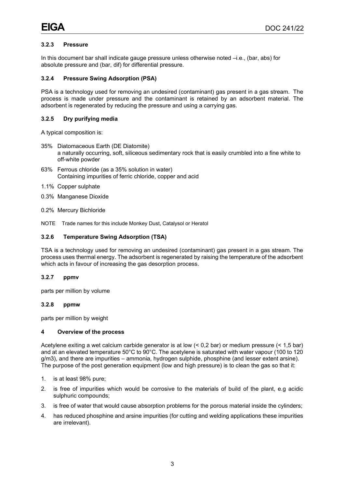#### **3.2.3 Pressure**

In this document bar shall indicate gauge pressure unless otherwise noted –i.e., (bar, abs) for absolute pressure and (bar, dif) for differential pressure.

#### **3.2.4 Pressure Swing Adsorption (PSA)**

PSA is a technology used for removing an undesired (contaminant) gas present in a gas stream. The process is made under pressure and the contaminant is retained by an adsorbent material. The adsorbent is regenerated by reducing the pressure and using a carrying gas.

#### **3.2.5 Dry purifying media**

A typical composition is:

- 35% Diatomaceous Earth (DE Diatomite) a naturally occurring, soft, siliceous sedimentary rock that is easily crumbled into a fine white to off-white powder
- 63% Ferrous chloride (as a 35% solution in water) Containing impurities of ferric chloride, copper and acid
- 1.1% Copper sulphate
- 0.3% Manganese Dioxide
- 0.2% Mercury Bichloride
- NOTE Trade names for this include Monkey Dust, Catalysol or Heratol

#### **3.2.6 Temperature Swing Adsorption (TSA)**

TSA is a technology used for removing an undesired (contaminant) gas present in a gas stream. The process uses thermal energy. The adsorbent is regenerated by raising the temperature of the adsorbent which acts in favour of increasing the gas desorption process.

#### **3.2.7 ppmv**

parts per million by volume

#### **3.2.8 ppmw**

<span id="page-5-0"></span>parts per million by weight

#### **4 Overview of the process**

Acetylene exiting a wet calcium carbide generator is at low (< 0,2 bar) or medium pressure (< 1,5 bar) and at an elevated temperature 50°C to 90°C. The acetylene is saturated with water vapour (100 to 120 g/m3), and there are impurities – ammonia, hydrogen sulphide, phosphine (and lesser extent arsine). The purpose of the post generation equipment (low and high pressure) is to clean the gas so that it:

- 1. is at least 98% pure;
- 2. is free of impurities which would be corrosive to the materials of build of the plant, e.g acidic sulphuric compounds;
- 3. is free of water that would cause absorption problems for the porous material inside the cylinders;
- 4. has reduced phosphine and arsine impurities (for cutting and welding applications these impurities are irrelevant).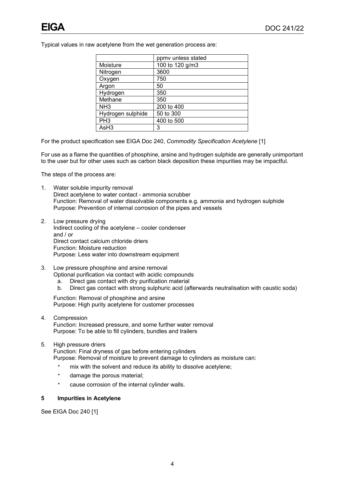Typical values in raw acetylene from the wet generation process are:

|                   | ppmy unless stated |
|-------------------|--------------------|
| Moisture          | 100 to 120 g/m3    |
| Nitrogen          | 3600               |
| Oxygen            | 750                |
| Argon             | 50                 |
| Hydrogen          | 350                |
| Methane           | 350                |
| NH <sub>3</sub>   | 200 to 400         |
| Hydrogen sulphide | 50 to 300          |
| PH <sub>3</sub>   | 400 to 500         |
| AsH3              | 3                  |

For the product specification see EIGA Doc 240, *Commodity Specification Acetylene* [1]

For use as a flame the quantities of phosphine, arsine and hydrogen sulphide are generally unimportant to the user but for other uses such as carbon black deposition these impurities may be impactful.

The steps of the process are:

- 1. Water soluble impurity removal Direct acetylene to water contact - ammonia scrubber Function: Removal of water dissolvable components e.g. ammonia and hydrogen sulphide Purpose: Prevention of internal corrosion of the pipes and vessels
- 2. Low pressure drying Indirect cooling of the acetylene – cooler condenser and / or Direct contact calcium chloride driers Function: Moisture reduction Purpose: Less water into downstream equipment
- 3. Low pressure phosphine and arsine removal Optional purification via contact with acidic compounds
	- a. Direct gas contact with dry purification material
	- Direct gas contact with strong sulphuric acid (afterwards neutralisation with caustic soda)

Function: Removal of phosphine and arsine Purpose: High purity acetylene for customer processes

- 4. Compression Function: Increased pressure, and some further water removal Purpose: To be able to fill cylinders, bundles and trailers
- 5. High pressure driers

Function: Final dryness of gas before entering cylinders Purpose: Removal of moisture to prevent damage to cylinders as moisture can:

- **·** mix with the solvent and reduce its ability to dissolve acetylene;
- **·** damage the porous material;
- **·** cause corrosion of the internal cylinder walls.

#### <span id="page-6-0"></span>**5 Impurities in Acetylene**

See EIGA Doc 240 [1]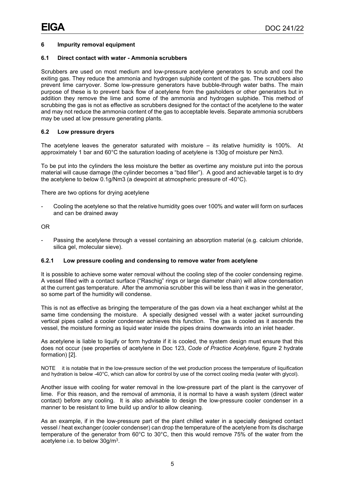#### <span id="page-7-0"></span>**6 Impurity removal equipment**

#### <span id="page-7-1"></span>**6.1 Direct contact with water - Ammonia scrubbers**

Scrubbers are used on most medium and low-pressure acetylene generators to scrub and cool the exiting gas. They reduce the ammonia and hydrogen sulphide content of the gas. The scrubbers also prevent lime carryover. Some low-pressure generators have bubble-through water baths. The main purpose of these is to prevent back flow of acetylene from the gasholders or other generators but in addition they remove the lime and some of the ammonia and hydrogen sulphide. This method of scrubbing the gas is not as effective as scrubbers designed for the contact of the acetylene to the water and may not reduce the ammonia content of the gas to acceptable levels. Separate ammonia scrubbers may be used at low pressure generating plants.

#### <span id="page-7-2"></span>**6.2 Low pressure dryers**

The acetylene leaves the generator saturated with moisture – its relative humidity is 100%. At approximately 1 bar and 60°C the saturation loading of acetylene is 130g of moisture per Nm3.

To be put into the cylinders the less moisture the better as overtime any moisture put into the porous material will cause damage (the cylinder becomes a "bad filler"). A good and achievable target is to dry the acetylene to below 0.1g/Nm3 (a dewpoint at atmospheric pressure of -40°C).

There are two options for drying acetylene

Cooling the acetylene so that the relative humidity goes over 100% and water will form on surfaces and can be drained away

OR

Passing the acetylene through a vessel containing an absorption material (e.g. calcium chloride, silica gel, molecular sieve).

#### **6.2.1 Low pressure cooling and condensing to remove water from acetylene**

It is possible to achieve some water removal without the cooling step of the cooler condensing regime. A vessel filled with a contact surface ("Raschig" rings or large diameter chain) will allow condensation at the current gas temperature. After the ammonia scrubber this will be less than it was in the generator, so some part of the humidity will condense.

This is not as effective as bringing the temperature of the gas down via a heat exchanger whilst at the same time condensing the moisture. A specially designed vessel with a water jacket surrounding vertical pipes called a cooler condenser achieves this function. The gas is cooled as it ascends the vessel, the moisture forming as liquid water inside the pipes drains downwards into an inlet header.

As acetylene is liable to liquify or form hydrate if it is cooled, the system design must ensure that this does not occur (see properties of acetylene in Doc 123, *Code of Practice Acetylene*, figure 2 hydrate formation) [2].

NOTE it is notable that in the low-pressure section of the wet production process the temperature of liquification and hydration is below -40°C, which can allow for control by use of the correct cooling media (water with glycol).

Another issue with cooling for water removal in the low-pressure part of the plant is the carryover of lime. For this reason, and the removal of ammonia, it is normal to have a wash system (direct water contact) before any cooling. It is also advisable to design the low-pressure cooler condenser in a manner to be resistant to lime build up and/or to allow cleaning.

As an example, if in the low-pressure part of the plant chilled water in a specially designed contact vessel / heat exchanger (cooler condenser) can drop the temperature of the acetylene from its discharge temperature of the generator from 60°C to 30°C, then this would remove 75% of the water from the acetylene i.e. to below 30g/m3.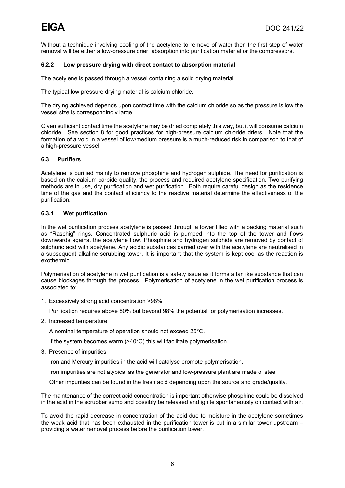Without a technique involving cooling of the acetylene to remove of water then the first step of water removal will be either a low-pressure drier, absorption into purification material or the compressors.

#### **6.2.2 Low pressure drying with direct contact to absorption material**

The acetylene is passed through a vessel containing a solid drying material.

The typical low pressure drying material is calcium chloride.

The drying achieved depends upon contact time with the calcium chloride so as the pressure is low the vessel size is correspondingly large.

Given sufficient contact time the acetylene may be dried completely this way, but it will consume calcium chloride. See section 8 for good practices for high-pressure calcium chloride driers. Note that the formation of a void in a vessel of low/medium pressure is a much-reduced risk in comparison to that of a high-pressure vessel.

#### <span id="page-8-0"></span>**6.3 Purifiers**

Acetylene is purified mainly to remove phosphine and hydrogen sulphide. The need for purification is based on the calcium carbide quality, the process and required acetylene specification. Two purifying methods are in use, dry purification and wet purification. Both require careful design as the residence time of the gas and the contact efficiency to the reactive material determine the effectiveness of the purification.

#### **6.3.1 Wet purification**

In the wet purification process acetylene is passed through a tower filled with a packing material such as "Raschig" rings. Concentrated sulphuric acid is pumped into the top of the tower and flows downwards against the acetylene flow. Phosphine and hydrogen sulphide are removed by contact of sulphuric acid with acetylene. Any acidic substances carried over with the acetylene are neutralised in a subsequent alkaline scrubbing tower. It is important that the system is kept cool as the reaction is exothermic.

Polymerisation of acetylene in wet purification is a safety issue as it forms a tar like substance that can cause blockages through the process. Polymerisation of acetylene in the wet purification process is associated to:

1. Excessively strong acid concentration >98%

Purification requires above 80% but beyond 98% the potential for polymerisation increases.

2. Increased temperature

A nominal temperature of operation should not exceed 25°C.

If the system becomes warm (>40°C) this will facilitate polymerisation.

3. Presence of impurities

Iron and Mercury impurities in the acid will catalyse promote polymerisation.

Iron impurities are not atypical as the generator and low-pressure plant are made of steel

Other impurities can be found in the fresh acid depending upon the source and grade/quality.

The maintenance of the correct acid concentration is important otherwise phosphine could be dissolved in the acid in the scrubber sump and possibly be released and ignite spontaneously on contact with air.

To avoid the rapid decrease in concentration of the acid due to moisture in the acetylene sometimes the weak acid that has been exhausted in the purification tower is put in a similar tower upstream – providing a water removal process before the purification tower.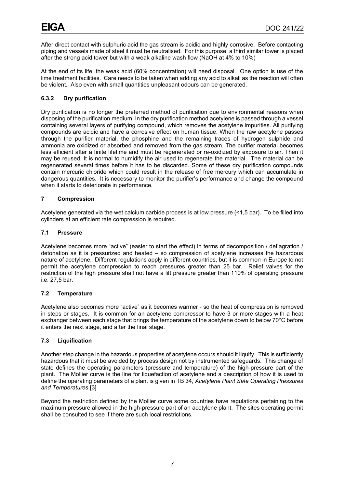After direct contact with sulphuric acid the gas stream is acidic and highly corrosive. Before contacting piping and vessels made of steel it must be neutralised. For this purpose, a third similar tower is placed after the strong acid tower but with a weak alkaline wash flow (NaOH at 4% to 10%)

At the end of its life, the weak acid (60% concentration) will need disposal. One option is use of the lime treatment facilities. Care needs to be taken when adding any acid to alkali as the reaction will often be violent. Also even with small quantities unpleasant odours can be generated.

#### **6.3.2 Dry purification**

Dry purification is no longer the preferred method of purification due to environmental reasons when disposing of the purification medium. In the dry purification method acetylene is passed through a vessel containing several layers of purifying compound, which removes the acetylene impurities. All purifying compounds are acidic and have a corrosive effect on human tissue. When the raw acetylene passes through the purifier material, the phosphine and the remaining traces of hydrogen sulphide and ammonia are oxidized or absorbed and removed from the gas stream. The purifier material becomes less efficient after a finite lifetime and must be regenerated or re-oxidized by exposure to air. Then it may be reused. It is normal to humidify the air used to regenerate the material. The material can be regenerated several times before it has to be discarded. Some of these dry purification compounds contain mercuric chloride which could result in the release of free mercury which can accumulate in dangerous quantities. It is necessary to monitor the purifier's performance and change the compound when it starts to deteriorate in performance.

#### <span id="page-9-0"></span>**7 Compression**

Acetylene generated via the wet calcium carbide process is at low pressure (<1,5 bar). To be filled into cylinders at an efficient rate compression is required.

#### <span id="page-9-1"></span>**7.1 Pressure**

Acetylene becomes more "active" (easier to start the effect) in terms of decomposition / deflagration / detonation as it is pressurized and heated – so compression of acetylene increases the hazardous nature of acetylene. Different regulations apply in different countries, but it is common in Europe to not permit the acetylene compression to reach pressures greater than 25 bar. Relief valves for the restriction of the high pressure shall not have a lift pressure greater than 110% of operating pressure i.e. 27,5 bar.

#### <span id="page-9-2"></span>**7.2 Temperature**

Acetylene also becomes more "active" as it becomes warmer - so the heat of compression is removed in steps or stages. It is common for an acetylene compressor to have 3 or more stages with a heat exchanger between each stage that brings the temperature of the acetylene down to below 70°C before it enters the next stage, and after the final stage.

#### <span id="page-9-3"></span>**7.3 Liquification**

Another step change in the hazardous properties of acetylene occurs should it liquify. This is sufficiently hazardous that it must be avoided by process design not by instrumented safeguards. This change of state defines the operating parameters (pressure and temperature) of the high-pressure part of the plant. The Mollier curve is the line for liquefaction of acetylene and a description of how it is used to define the operating parameters of a plant is given in TB 34, *Acetylene Plant Safe Operating Pressures and Temperatures* [3]

Beyond the restriction defined by the Mollier curve some countries have regulations pertaining to the maximum pressure allowed in the high-pressure part of an acetylene plant. The sites operating permit shall be consulted to see if there are such local restrictions.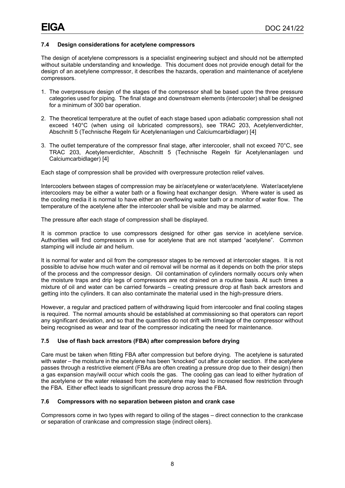#### <span id="page-10-0"></span>**7.4 Design considerations for acetylene compressors**

The design of acetylene compressors is a specialist engineering subject and should not be attempted without suitable understanding and knowledge. This document does not provide enough detail for the design of an acetylene compressor, it describes the hazards, operation and maintenance of acetylene compressors.

- 1. The overpressure design of the stages of the compressor shall be based upon the three pressure categories used for piping. The final stage and downstream elements (intercooler) shall be designed for a minimum of 300 bar operation.
- 2. The theoretical temperature at the outlet of each stage based upon adiabatic compression shall not exceed 140°C (when using oil lubricated compressors), see TRAC 203, Acetylenverdichter, Abschnitt 5 (Technische Regeln für Acetylenanlagen und Calciumcarbidlager) [4]
- 3. The outlet temperature of the compressor final stage, after intercooler, shall not exceed 70°C, see TRAC 203, Acetylenverdichter, Abschnitt 5 (Technische Regeln für Acetylenanlagen und Calciumcarbidlager) [4]

Each stage of compression shall be provided with overpressure protection relief valves.

Intercoolers between stages of compression may be air/acetylene or water/acetylene. Water/acetylene intercoolers may be either a water bath or a flowing heat exchanger design. Where water is used as the cooling media it is normal to have either an overflowing water bath or a monitor of water flow. The temperature of the acetylene after the intercooler shall be visible and may be alarmed.

The pressure after each stage of compression shall be displayed.

It is common practice to use compressors designed for other gas service in acetylene service. Authorities will find compressors in use for acetylene that are not stamped "acetylene". Common stamping will include air and helium.

It is normal for water and oil from the compressor stages to be removed at intercooler stages. It is not possible to advise how much water and oil removal will be normal as it depends on both the prior steps of the process and the compressor design. Oil contamination of cylinders normally occurs only when the moisture traps and drip legs of compressors are not drained on a routine basis. At such times a mixture of oil and water can be carried forwards – creating pressure drop at flash back arrestors and getting into the cylinders. It can also contaminate the material used in the high-pressure driers.

However, a regular and practiced pattern of withdrawing liquid from intercooler and final cooling stages is required. The normal amounts should be established at commissioning so that operators can report any significant deviation, and so that the quantities do not drift with time/age of the compressor without being recognised as wear and tear of the compressor indicating the need for maintenance.

#### <span id="page-10-1"></span>**7.5 Use of flash back arrestors (FBA) after compression before drying**

Care must be taken when fitting FBA after compression but before drying. The acetylene is saturated with water – the moisture in the acetylene has been "knocked" out after a cooler section. If the acetylene passes through a restrictive element (FBAs are often creating a pressure drop due to their design) then a gas expansion may/will occur which cools the gas. The cooling gas can lead to either hydration of the acetylene or the water released from the acetylene may lead to increased flow restriction through the FBA. Either effect leads to significant pressure drop across the FBA.

#### <span id="page-10-2"></span>**7.6 Compressors with no separation between piston and crank case**

Compressors come in two types with regard to oiling of the stages – direct connection to the crankcase or separation of crankcase and compression stage (indirect oilers).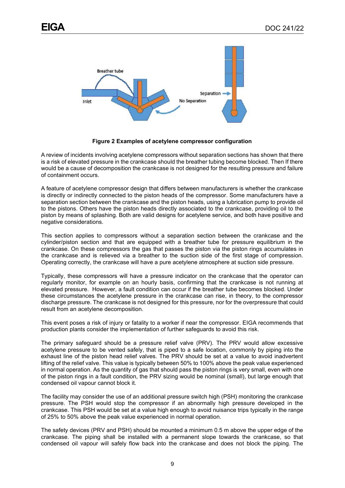

**Figure 2 Examples of acetylene compressor configuration**

<span id="page-11-0"></span>A review of incidents involving acetylene compressors without separation sections has shown that there is a risk of elevated pressure in the crankcase should the breather tubing become blocked. Then If there would be a cause of decomposition the crankcase is not designed for the resulting pressure and failure of containment occurs.

A feature of acetylene compressor design that differs between manufacturers is whether the crankcase is directly or indirectly connected to the piston heads of the compressor. Some manufacturers have a separation section between the crankcase and the piston heads, using a lubrication pump to provide oil to the pistons. Others have the piston heads directly associated to the crankcase, providing oil to the piston by means of splashing. Both are valid designs for acetylene service, and both have positive and negative considerations.

This section applies to compressors without a separation section between the crankcase and the cylinder/piston section and that are equipped with a breather tube for pressure equilibrium in the crankcase. On these compressors the gas that passes the piston via the piston rings accumulates in the crankcase and is relieved via a breather to the suction side of the first stage of compression. Operating correctly, the crankcase will have a pure acetylene atmosphere at suction side pressure.

Typically, these compressors will have a pressure indicator on the crankcase that the operator can regularly monitor, for example on an hourly basis, confirming that the crankcase is not running at elevated pressure. However, a fault condition can occur if the breather tube becomes blocked. Under these circumstances the acetylene pressure in the crankcase can rise, in theory, to the compressor discharge pressure. The crankcase is not designed for this pressure, nor for the overpressure that could result from an acetylene decomposition.

This event poses a risk of injury or fatality to a worker if near the compressor. EIGA recommends that production plants consider the implementation of further safeguards to avoid this risk.

The primary safeguard should be a pressure relief valve (PRV). The PRV would allow excessive acetylene pressure to be vented safely, that is piped to a safe location, commonly by piping into the exhaust line of the piston head relief valves. The PRV should be set at a value to avoid inadvertent lifting of the relief valve. This value is typically between 50% to 100% above the peak value experienced in normal operation. As the quantity of gas that should pass the piston rings is very small, even with one of the piston rings in a fault condition, the PRV sizing would be nominal (small), but large enough that condensed oil vapour cannot block it.

The facility may consider the use of an additional pressure switch high (PSH) monitoring the crankcase pressure. The PSH would stop the compressor if an abnormally high pressure developed in the crankcase. This PSH would be set at a value high enough to avoid nuisance trips typically in the range of 25% to 50% above the peak value experienced in normal operation.

The safety devices (PRV and PSH) should be mounted a minimum 0.5 m above the upper edge of the crankcase. The piping shall be installed with a permanent slope towards the crankcase, so that condensed oil vapour will safely flow back into the crankcase and does not block the piping. The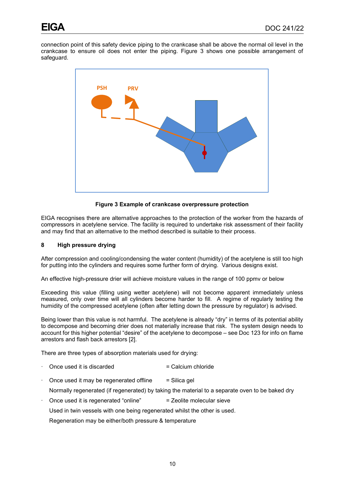connection point of this safety device piping to the crankcase shall be above the normal oil level in the crankcase to ensure oil does not enter the piping. Figure 3 shows one possible arrangement of safeguard.



**Figure 3 Example of crankcase overpressure protection**

<span id="page-12-1"></span>EIGA recognises there are alternative approaches to the protection of the worker from the hazards of compressors in acetylene service. The facility is required to undertake risk assessment of their facility and may find that an alternative to the method described is suitable to their process.

#### <span id="page-12-0"></span>**8 High pressure drying**

After compression and cooling/condensing the water content (humidity) of the acetylene is still too high for putting into the cylinders and requires some further form of drying. Various designs exist.

An effective high-pressure drier will achieve moisture values in the range of 100 ppmv or below

Exceeding this value (filling using wetter acetylene) will not become apparent immediately unless measured, only over time will all cylinders become harder to fill. A regime of regularly testing the humidity of the compressed acetylene (often after letting down the pressure by regulator) is advised.

Being lower than this value is not harmful. The acetylene is already "dry" in terms of its potential ability to decompose and becoming drier does not materially increase that risk. The system design needs to account for this higher potential "desire" of the acetylene to decompose – see Doc 123 for info on flame arrestors and flash back arrestors [2].

There are three types of absorption materials used for drying:

- Once used it is discarded  $=$  Calcium chloride
- Once used it may be regenerated offline  $=$  Silica gel

Normally regenerated (if regenerated) by taking the material to a separate oven to be baked dry

Once used it is regenerated "online" = Zeolite molecular sieve

Used in twin vessels with one being regenerated whilst the other is used.

Regeneration may be either/both pressure & temperature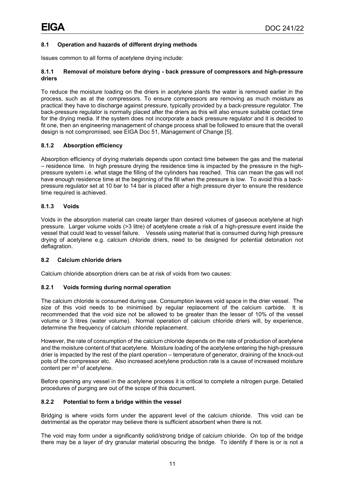### <span id="page-13-0"></span>**8.1 Operation and hazards of different drying methods**

Issues common to all forms of acetylene drying include:

#### **8.1.1 Removal of moisture before drying - back pressure of compressors and high-pressure driers**

To reduce the moisture loading on the driers in acetylene plants the water is removed earlier in the process, such as at the compressors. To ensure compressors are removing as much moisture as practical they have to discharge against pressure, typically provided by a back-pressure regulator. The back-pressure regulator is normally placed after the driers as this will also ensure suitable contact time for the drying media. If the system does not incorporate a back pressure regulator and it is decided to fit one, then an engineering management of change process shall be followed to ensure that the overall design is not compromised, see EIGA Doc 51, Management of Change [5].

#### **8.1.2 Absorption efficiency**

Absorption efficiency of drying materials depends upon contact time between the gas and the material – residence time. In high pressure drying the residence time is impacted by the pressure in the highpressure system i.e. what stage the filling of the cylinders has reached. This can mean the gas will not have enough residence time at the beginning of the fill when the pressure is low. To avoid this a backpressure regulator set at 10 bar to 14 bar is placed after a high pressure dryer to ensure the residence time required is achieved.

#### **8.1.3 Voids**

Voids in the absorption material can create larger than desired volumes of gaseous acetylene at high pressure. Larger volume voids (>3 litre) of acetylene create a risk of a high-pressure event inside the vessel that could lead to vessel failure. Vessels using material that is consumed during high pressure drying of acetylene e.g. calcium chloride driers, need to be designed for potential detonation not deflagration.

#### <span id="page-13-1"></span>**8.2 Calcium chloride driers**

Calcium chloride absorption driers can be at risk of voids from two causes:

#### **8.2.1 Voids forming during normal operation**

The calcium chloride is consumed during use. Consumption leaves void space in the drier vessel. The size of this void needs to be minimised by regular replacement of the calcium carbide. It is recommended that the void size not be allowed to be greater than the lesser of 10% of the vessel volume or 3 litres (water volume). Normal operation of calcium chloride driers will, by experience, determine the frequency of calcium chloride replacement.

However, the rate of consumption of the calcium chloride depends on the rate of production of acetylene and the moisture content of that acetylene. Moisture loading of the acetylene entering the high-pressure drier is impacted by the rest of the plant operation – temperature of generator, draining of the knock-out pots of the compressor etc. Also increased acetylene production rate is a cause of increased moisture content per  $m<sup>3</sup>$  of acetylene.

Before opening any vessel in the acetylene process it is critical to complete a nitrogen purge. Detailed procedures of purging are out of the scope of this document.

#### **8.2.2 Potential to form a bridge within the vessel**

Bridging is where voids form under the apparent level of the calcium chloride. This void can be detrimental as the operator may believe there is sufficient absorbent when there is not.

The void may form under a significantly solid/strong bridge of calcium chloride. On top of the bridge there may be a layer of dry granular material obscuring the bridge. To identify if there is or is not a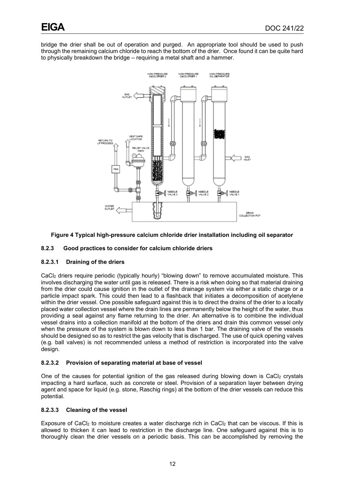bridge the drier shall be out of operation and purged. An appropriate tool should be used to push through the remaining calcium chloride to reach the bottom of the drier. Once found it can be quite hard to physically breakdown the bridge – requiring a metal shaft and a hammer.



#### <span id="page-14-0"></span>**Figure 4 Typical high-pressure calcium chloride drier installation including oil separator**

#### **8.2.3 Good practices to consider for calcium chloride driers**

#### **8.2.3.1 Draining of the driers**

CaCl2 driers require periodic (typically hourly) "blowing down" to remove accumulated moisture. This involves discharging the water until gas is released. There is a risk when doing so that material draining from the drier could cause ignition in the outlet of the drainage system via either a static charge or a particle impact spark. This could then lead to a flashback that initiates a decomposition of acetylene within the drier vessel. One possible safeguard against this is to direct the drains of the drier to a locally placed water collection vessel where the drain lines are permanently below the height of the water, thus providing a seal against any flame returning to the drier. An alternative is to combine the individual vessel drains into a collection manifold at the bottom of the driers and drain this common vessel only when the pressure of the system is blown down to less than 1 bar. The draining valve of the vessels should be designed so as to restrict the gas velocity that is discharged. The use of quick opening valves (e.g. ball valves) is not recommended unless a method of restriction is incorporated into the valve design.

#### **8.2.3.2 Provision of separating material at base of vessel**

One of the causes for potential ignition of the gas released during blowing down is CaCl2 crystals impacting a hard surface, such as concrete or steel. Provision of a separation layer between drying agent and space for liquid (e.g. stone, Raschig rings) at the bottom of the drier vessels can reduce this potential.

#### **8.2.3.3 Cleaning of the vessel**

Exposure of CaCl<sub>2</sub> to moisture creates a water discharge rich in CaCl<sub>2</sub> that can be viscous. If this is allowed to thicken it can lead to restriction in the discharge line. One safeguard against this is to thoroughly clean the drier vessels on a periodic basis. This can be accomplished by removing the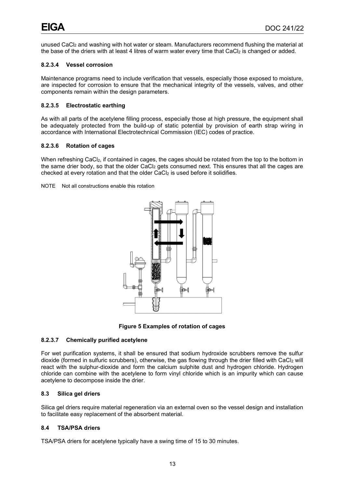unused CaCl<sub>2</sub> and washing with hot water or steam. Manufacturers recommend flushing the material at the base of the driers with at least 4 litres of warm water every time that CaCl<sub>2</sub> is changed or added.

#### **8.2.3.4 Vessel corrosion**

Maintenance programs need to include verification that vessels, especially those exposed to moisture, are inspected for corrosion to ensure that the mechanical integrity of the vessels, valves, and other components remain within the design parameters.

#### **8.2.3.5 Electrostatic earthing**

As with all parts of the acetylene filling process, especially those at high pressure, the equipment shall be adequately protected from the build-up of static potential by provision of earth strap wiring in accordance with International Electrotechnical Commission (IEC) codes of practice.

#### **8.2.3.6 Rotation of cages**

When refreshing CaCl2, if contained in cages, the cages should be rotated from the top to the bottom in the same drier body, so that the older CaCl<sub>2</sub> gets consumed next. This ensures that all the cages are checked at every rotation and that the older CaCl<sub>2</sub> is used before it solidifies.

NOTE Not all constructions enable this rotation



**Figure 5 Examples of rotation of cages**

#### <span id="page-15-2"></span>**8.2.3.7 Chemically purified acetylene**

For wet purification systems, it shall be ensured that sodium hydroxide scrubbers remove the sulfur dioxide (formed in sulfuric scrubbers), otherwise, the gas flowing through the drier filled with CaCl2 will react with the sulphur-dioxide and form the calcium sulphite dust and hydrogen chloride. Hydrogen chloride can combine with the acetylene to form vinyl chloride which is an impurity which can cause acetylene to decompose inside the drier.

#### <span id="page-15-0"></span>**8.3 Silica gel driers**

Silica gel driers require material regeneration via an external oven so the vessel design and installation to facilitate easy replacement of the absorbent material.

#### <span id="page-15-1"></span>**8.4 TSA/PSA driers**

TSA/PSA driers for acetylene typically have a swing time of 15 to 30 minutes.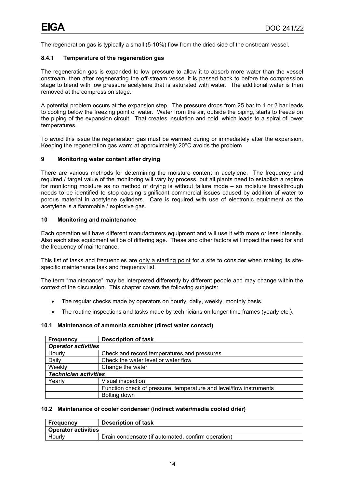The regeneration gas is typically a small (5-10%) flow from the dried side of the onstream vessel.

#### **8.4.1 Temperature of the regeneration gas**

The regeneration gas is expanded to low pressure to allow it to absorb more water than the vessel onstream, then after regenerating the off-stream vessel it is passed back to before the compression stage to blend with low pressure acetylene that is saturated with water. The additional water is then removed at the compression stage.

A potential problem occurs at the expansion step. The pressure drops from 25 bar to 1 or 2 bar leads to cooling below the freezing point of water. Water from the air, outside the piping, starts to freeze on the piping of the expansion circuit. That creates insulation and cold, which leads to a spiral of lower temperatures.

To avoid this issue the regeneration gas must be warmed during or immediately after the expansion. Keeping the regeneration gas warm at approximately 20°C avoids the problem

#### <span id="page-16-0"></span>**9 Monitoring water content after drying**

There are various methods for determining the moisture content in acetylene. The frequency and required / target value of the monitoring will vary by process, but all plants need to establish a regime for monitoring moisture as no method of drying is without failure mode – so moisture breakthrough needs to be identified to stop causing significant commercial issues caused by addition of water to porous material in acetylene cylinders. Care is required with use of electronic equipment as the acetylene is a flammable / explosive gas.

#### <span id="page-16-1"></span>**10 Monitoring and maintenance**

Each operation will have different manufacturers equipment and will use it with more or less intensity. Also each sites equipment will be of differing age. These and other factors will impact the need for and the frequency of maintenance.

This list of tasks and frequencies are only a starting point for a site to consider when making its sitespecific maintenance task and frequency list.

The term "maintenance" may be interpreted differently by different people and may change within the context of the discussion. This chapter covers the following subjects:

- The regular checks made by operators on hourly, daily, weekly, monthly basis.
- The routine inspections and tasks made by technicians on longer time frames (yearly etc.).

#### <span id="page-16-2"></span>**10.1 Maintenance of ammonia scrubber (direct water contact)**

| <b>Frequency</b>             | <b>Description of task</b>                                         |  |  |
|------------------------------|--------------------------------------------------------------------|--|--|
|                              | <b>Operator activities</b>                                         |  |  |
| Hourly                       | Check and record temperatures and pressures                        |  |  |
| Daily                        | Check the water level or water flow                                |  |  |
| Weekly                       | Change the water                                                   |  |  |
| <b>Technician activities</b> |                                                                    |  |  |
| Yearly                       | Visual inspection                                                  |  |  |
|                              | Function check of pressure, temperature and level/flow instruments |  |  |
|                              | Bolting down                                                       |  |  |

#### <span id="page-16-3"></span>**10.2 Maintenance of cooler condenser (indirect water/media cooled drier)**

| Frequency                  | <b>Description of task</b>                         |  |
|----------------------------|----------------------------------------------------|--|
| <b>Operator activities</b> |                                                    |  |
| Hourly                     | Drain condensate (if automated, confirm operation) |  |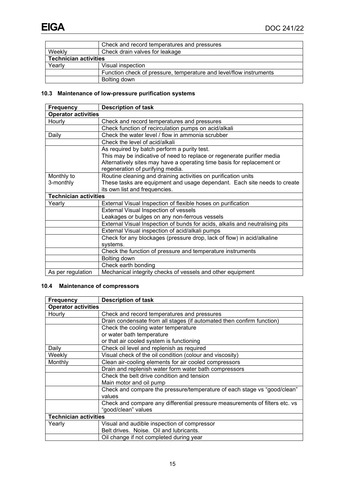|                              | Check and record temperatures and pressures                        |  |
|------------------------------|--------------------------------------------------------------------|--|
| Weekly                       | Check drain valves for leakage                                     |  |
| <b>Technician activities</b> |                                                                    |  |
| Yearly                       | Visual inspection                                                  |  |
|                              | Function check of pressure, temperature and level/flow instruments |  |
|                              | Bolting down                                                       |  |

# <span id="page-17-0"></span>**10.3 Maintenance of low-pressure purification systems**

| <b>Frequency</b>             | <b>Description of task</b>                                                   |  |
|------------------------------|------------------------------------------------------------------------------|--|
| <b>Operator activities</b>   |                                                                              |  |
| Hourly                       | Check and record temperatures and pressures                                  |  |
|                              | Check function of recirculation pumps on acid/alkali                         |  |
| Daily                        | Check the water level / flow in ammonia scrubber                             |  |
|                              | Check the level of acid/alkali                                               |  |
|                              | As required by batch perform a purity test.                                  |  |
|                              | This may be indicative of need to replace or regenerate purifier media       |  |
|                              | Alternatively sites may have a operating time basis for replacement or       |  |
|                              | regeneration of purifying media.                                             |  |
| Monthly to                   | Routine cleaning and draining activities on purification units               |  |
| 3-monthly                    | These tasks are equipment and usage dependant. Each site needs to create     |  |
|                              | its own list and frequencies.                                                |  |
| <b>Technician activities</b> |                                                                              |  |
| Yearly                       | External Visual Inspection of flexible hoses on purification                 |  |
|                              | External Visual Inspection of vessels                                        |  |
|                              | Leakages or bulges on any non-ferrous vessels                                |  |
|                              | External Visual Inspection of bunds for acids, alkalis and neutralising pits |  |
|                              | External Visual inspection of acid/alkali pumps                              |  |
|                              | Check for any blockages (pressure drop, lack of flow) in acid/alkaline       |  |
|                              | systems.                                                                     |  |
|                              | Check the function of pressure and temperature instruments                   |  |
|                              | Bolting down                                                                 |  |
|                              | Check earth bonding                                                          |  |
| As per regulation            | Mechanical integrity checks of vessels and other equipment                   |  |

# <span id="page-17-1"></span>**10.4 Maintenance of compressors**

| <b>Frequency</b>             | <b>Description of task</b>                                                  |  |
|------------------------------|-----------------------------------------------------------------------------|--|
| <b>Operator activities</b>   |                                                                             |  |
| Hourly                       | Check and record temperatures and pressures                                 |  |
|                              | Drain condensate from all stages (if automated then confirm function)       |  |
|                              | Check the cooling water temperature                                         |  |
|                              | or water bath temperature                                                   |  |
|                              | or that air cooled system is functioning                                    |  |
| Daily                        | Check oil level and replenish as required                                   |  |
| Weekly                       | Visual check of the oil condition (colour and viscosity)                    |  |
| Monthly                      | Clean air-cooling elements for air cooled compressors                       |  |
|                              | Drain and replenish water form water bath compressors                       |  |
|                              | Check the belt drive condition and tension                                  |  |
|                              | Main motor and oil pump                                                     |  |
|                              | Check and compare the pressure/temperature of each stage vs "good/clean"    |  |
|                              | values                                                                      |  |
|                              | Check and compare any differential pressure measurements of filters etc. vs |  |
|                              | "good/clean" values                                                         |  |
| <b>Technician activities</b> |                                                                             |  |
| Yearly                       | Visual and audible inspection of compressor                                 |  |
|                              | Belt drives. Noise. Oil and lubricants.                                     |  |
|                              | Oil change if not completed during year                                     |  |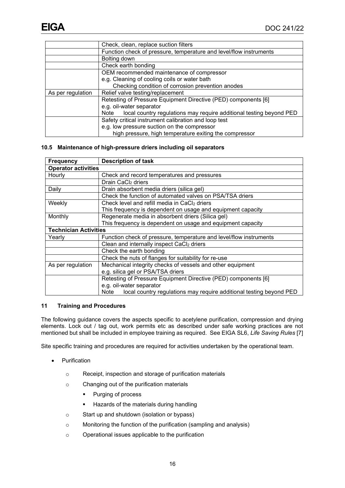|                                                       | Check, clean, replace suction filters                                       |  |
|-------------------------------------------------------|-----------------------------------------------------------------------------|--|
|                                                       | Function check of pressure, temperature and level/flow instruments          |  |
|                                                       | Bolting down                                                                |  |
|                                                       | Check earth bonding                                                         |  |
|                                                       | OEM recommended maintenance of compressor                                   |  |
|                                                       | e.g. Cleaning of cooling coils or water bath                                |  |
|                                                       | Checking condition of corrosion prevention anodes                           |  |
| Relief valve testing/replacement<br>As per regulation |                                                                             |  |
|                                                       | Retesting of Pressure Equipment Directive (PED) components [6]              |  |
|                                                       | e.g. oil-water separator                                                    |  |
|                                                       | local country regulations may require additional testing beyond PED<br>Note |  |
|                                                       | Safety critical instrument calibration and loop test                        |  |
|                                                       | e.g. low pressure suction on the compressor                                 |  |
|                                                       | high pressure, high temperature exiting the compressor                      |  |

#### <span id="page-18-0"></span>**10.5 Maintenance of high-pressure driers including oil separators**

| <b>Frequency</b>             | <b>Description of task</b>                                                  |  |
|------------------------------|-----------------------------------------------------------------------------|--|
| <b>Operator activities</b>   |                                                                             |  |
| Hourly                       | Check and record temperatures and pressures                                 |  |
|                              | Drain CaCl <sub>2</sub> driers                                              |  |
| Daily                        | Drain absorbent media driers (silica gel)                                   |  |
|                              | Check the function of automated valves on PSA/TSA driers                    |  |
| Weekly                       | Check level and refill media in CaCl <sub>2</sub> driers                    |  |
|                              | This frequency is dependent on usage and equipment capacity                 |  |
| Monthly                      | Regenerate media in absorbent driers (Silica gel)                           |  |
|                              | This frequency is dependent on usage and equipment capacity                 |  |
| <b>Technician Activities</b> |                                                                             |  |
| Yearly                       | Function check of pressure, temperature and level/flow instruments          |  |
|                              | Clean and internally inspect CaCl2 driers                                   |  |
|                              | Check the earth bonding                                                     |  |
|                              | Check the nuts of flanges for suitability for re-use                        |  |
| As per regulation            | Mechanical integrity checks of vessels and other equipment                  |  |
|                              | e.g. silica gel or PSA/TSA driers                                           |  |
|                              | Retesting of Pressure Equipment Directive (PED) components [6]              |  |
|                              | e.g. oil-water separator                                                    |  |
|                              | Note<br>local country regulations may require additional testing beyond PED |  |

#### <span id="page-18-1"></span>**11 Training and Procedures**

The following guidance covers the aspects specific to acetylene purification, compression and drying elements. Lock out / tag out, work permits etc as described under safe working practices are not mentioned but shall be included in employee training as required. See EIGA SL6, *Life Saving Rules* [7]

Site specific training and procedures are required for activities undertaken by the operational team.

- Purification
	- o Receipt, inspection and storage of purification materials
	- o Changing out of the purification materials
		- **Purging of process**
		- **Hazards of the materials during handling**
	- o Start up and shutdown (isolation or bypass)
	- o Monitoring the function of the purification (sampling and analysis)
	- o Operational issues applicable to the purification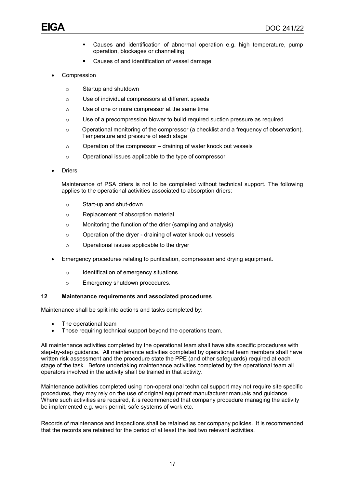- Causes and identification of abnormal operation e.g. high temperature, pump operation, blockages or channelling
- Causes of and identification of vessel damage
- **Compression** 
	- o Startup and shutdown
	- o Use of individual compressors at different speeds
	- o Use of one or more compressor at the same time
	- o Use of a precompression blower to build required suction pressure as required
	- o Operational monitoring of the compressor (a checklist and a frequency of observation). Temperature and pressure of each stage
	- $\circ$  Operation of the compressor draining of water knock out vessels
	- o Operational issues applicable to the type of compressor
- **Driers**

Maintenance of PSA driers is not to be completed without technical support. The following applies to the operational activities associated to absorption driers:

- o Start-up and shut-down
- o Replacement of absorption material
- o Monitoring the function of the drier (sampling and analysis)
- o Operation of the dryer draining of water knock out vessels
- o Operational issues applicable to the dryer
- Emergency procedures relating to purification, compression and drying equipment.
	- o Identification of emergency situations
	- o Emergency shutdown procedures.

#### <span id="page-19-0"></span>**12 Maintenance requirements and associated procedures**

Maintenance shall be split into actions and tasks completed by:

- The operational team
- Those requiring technical support beyond the operations team.

All maintenance activities completed by the operational team shall have site specific procedures with step-by-step guidance. All maintenance activities completed by operational team members shall have written risk assessment and the procedure state the PPE (and other safeguards) required at each stage of the task. Before undertaking maintenance activities completed by the operational team all operators involved in the activity shall be trained in that activity.

Maintenance activities completed using non-operational technical support may not require site specific procedures, they may rely on the use of original equipment manufacturer manuals and guidance. Where such activities are required, it is recommended that company procedure managing the activity be implemented e.g. work permit, safe systems of work etc.

Records of maintenance and inspections shall be retained as per company policies. It is recommended that the records are retained for the period of at least the last two relevant activities.